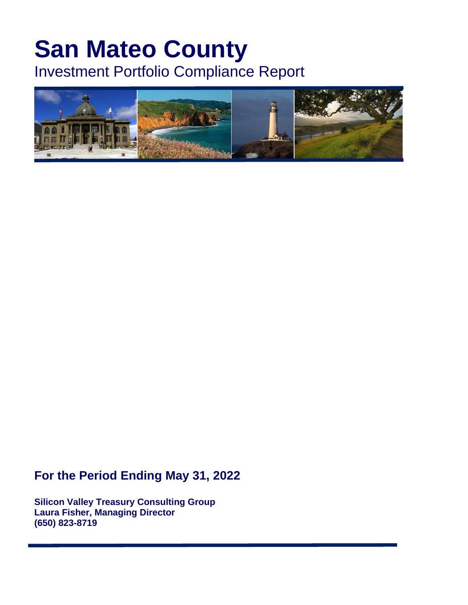# **San Mateo County**

Investment Portfolio Compliance Report



## **For the Period Ending May 31, 2022**

**Silicon Valley Treasury Consulting Group Laura Fisher, Managing Director (650) 823-8719**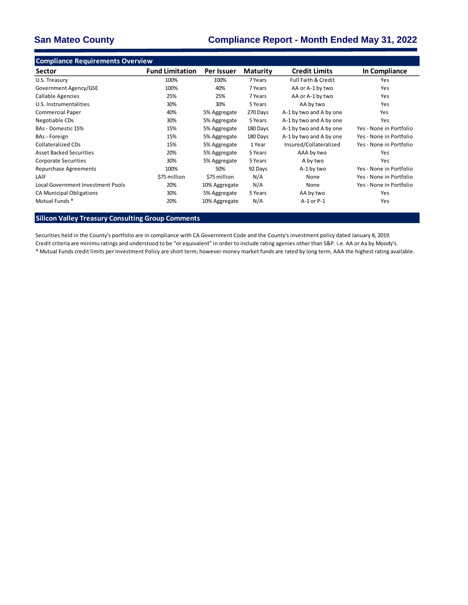### **San Mateo County Compliance Report - Month Ended May 31, 2022**

| <b>Compliance Requirements Overview</b> |                        |               |                 |                                |                         |
|-----------------------------------------|------------------------|---------------|-----------------|--------------------------------|-------------------------|
| Sector                                  | <b>Fund Limitation</b> | Per Issuer    | <b>Maturity</b> | <b>Credit Limits</b>           | In Compliance           |
| U.S. Treasury                           | 100%                   | 100%          | 7 Years         | <b>Full Faith &amp; Credit</b> | Yes                     |
| Government Agency/GSE                   | 100%                   | 40%           | 7 Years         | AA or A-1 by two               | Yes                     |
| Callable Agencies                       | 25%                    | 25%           | 7 Years         | AA or A-1 by two               | Yes                     |
| U.S. Instrumentalities                  | 30%                    | 30%           | 5 Years         | AA by two                      | Yes                     |
| <b>Commercial Paper</b>                 | 40%                    | 5% Aggregate  | 270 Days        | A-1 by two and A by one        | Yes                     |
| Negotiable CDs                          | 30%                    | 5% Aggregate  | 5 Years         | A-1 by two and A by one        | Yes                     |
| BAs - Domestic 15%                      | 15%                    | 5% Aggregate  | 180 Days        | A-1 by two and A by one        | Yes - None in Portfolio |
| BAs - Foreign                           | 15%                    | 5% Aggregate  | 180 Days        | A-1 by two and A by one        | Yes - None in Portfolio |
| <b>Collateralized CDs</b>               | 15%                    | 5% Aggregate  | 1 Year          | Insured/Collateralized         | Yes - None in Portfolio |
| <b>Asset Backed Securities</b>          | 20%                    | 5% Aggregate  | 5 Years         | AAA by two                     | Yes                     |
| <b>Corporate Securities</b>             | 30%                    | 5% Aggregate  | 5 Years         | A by two                       | Yes                     |
| Repurchase Agreements                   | 100%                   | 50%           | 92 Days         | A-1 by two                     | Yes - None in Portfolio |
| LAIF                                    | \$75 million           | \$75 million  | N/A             | None                           | Yes - None in Portfolio |
| Local Government Investment Pools       | 20%                    | 10% Aggregate | N/A             | None                           | Yes - None in Portfolio |
| CA Municipal Obligations                | 30%                    | 5% Aggregate  | 5 Years         | AA by two                      | Yes                     |
| Mutual Funds *                          | 20%                    | 10% Aggregate | N/A             | A-1 or P-1                     | Yes                     |

**Silicon Valley Treasury Consulting Group Comments**

Securities held in the County's portfolio are in compliance with CA Government Code and the County's investment policy dated January 8, 2019. Credit criteria are minimu ratings and understood to be "or equivalent" in order to include rating agenies other than S&P. i.e. AA or Aa by Moody's. \* Mutual Funds credit limits per Investment Policy are short term; however money market funds are rated by long term, AAA the highest rating available.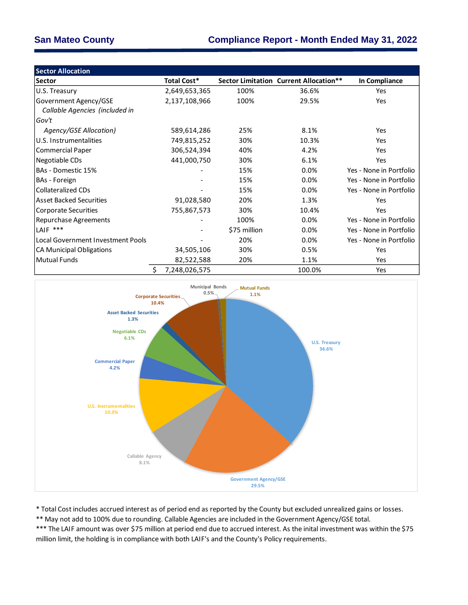| <b>Sector Allocation</b>          |                     |              |                                        |                         |
|-----------------------------------|---------------------|--------------|----------------------------------------|-------------------------|
| Sector                            | <b>Total Cost*</b>  |              | Sector Limitation Current Allocation** | In Compliance           |
| U.S. Treasury                     | 2,649,653,365       | 100%         | 36.6%                                  | Yes                     |
| Government Agency/GSE             | 2,137,108,966       | 100%         | 29.5%                                  | Yes                     |
| Callable Agencies (included in    |                     |              |                                        |                         |
| Gov't                             |                     |              |                                        |                         |
| Agency/GSE Allocation)            | 589,614,286         | 25%          | 8.1%                                   | <b>Yes</b>              |
| U.S. Instrumentalities            | 749,815,252         | 30%          | 10.3%                                  | <b>Yes</b>              |
| Commercial Paper                  | 306,524,394         | 40%          | 4.2%                                   | Yes                     |
| Negotiable CDs                    | 441,000,750         | 30%          | 6.1%                                   | Yes                     |
| BAs - Domestic 15%                |                     | 15%          | $0.0\%$                                | Yes - None in Portfolio |
| <b>BAs - Foreign</b>              |                     | 15%          | $0.0\%$                                | Yes - None in Portfolio |
| lCollateralized CDs               |                     | 15%          | $0.0\%$                                | Yes - None in Portfolio |
| <b>Asset Backed Securities</b>    | 91,028,580          | 20%          | 1.3%                                   | Yes                     |
| Corporate Securities              | 755,867,573         | 30%          | 10.4%                                  | Yes                     |
| Repurchase Agreements             |                     | 100%         | $0.0\%$                                | Yes - None in Portfolio |
| LAIF ***                          |                     | \$75 million | $0.0\%$                                | Yes - None in Portfolio |
| Local Government Investment Pools |                     | 20%          | $0.0\%$                                | Yes - None in Portfolio |
| <b>CA Municipal Obligations</b>   | 34,505,106          | 30%          | 0.5%                                   | Yes                     |
| <b>Mutual Funds</b>               | 82,522,588          | 20%          | 1.1%                                   | Yes                     |
|                                   | \$<br>7,248,026,575 |              | 100.0%                                 | Yes                     |



\* Total Cost includes accrued interest as of period end as reported by the County but excluded unrealized gains or losses.

\*\* May not add to 100% due to rounding. Callable Agencies are included in the Government Agency/GSE total.

\*\*\* The LAIF amount was over \$75 million at period end due to accrued interest. As the inital investment was within the \$75 million limit, the holding is in compliance with both LAIF's and the County's Policy requirements.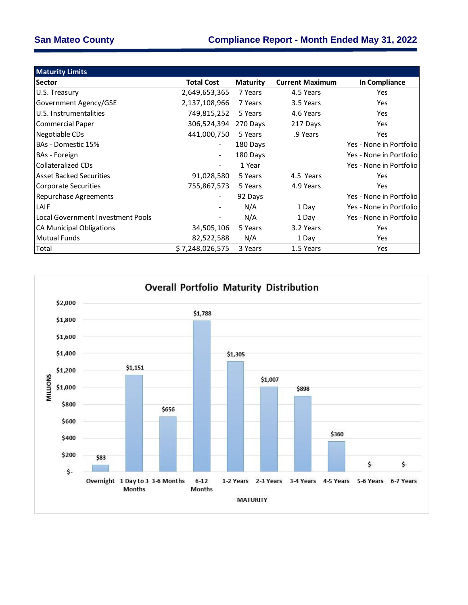| <b>Maturity Limits</b>              |                   |                 |                        |                         |
|-------------------------------------|-------------------|-----------------|------------------------|-------------------------|
| <b>Sector</b>                       | <b>Total Cost</b> | <b>Maturity</b> | <b>Current Maximum</b> | In Compliance           |
| U.S. Treasury                       | 2,649,653,365     | 7 Years         | 4.5 Years              | <b>Yes</b>              |
| Government Agency/GSE               | 2,137,108,966     | 7 Years         | 3.5 Years              | Yes                     |
| U.S. Instrumentalities              | 749,815,252       | 5 Years         | 4.6 Years              | <b>Yes</b>              |
| Commercial Paper                    | 306,524,394       | 270 Days        | 217 Days               | <b>Yes</b>              |
| Negotiable CDs                      | 441,000,750       | 5 Years         | .9 Years               | Yes                     |
| IBAs - Domestic 15%                 |                   | 180 Days        |                        | Yes - None in Portfolio |
| BAs - Foreign                       |                   | 180 Days        |                        | Yes - None in Portfolio |
| Collateralized CDs                  |                   | 1 Year          |                        | Yes - None in Portfolio |
| Asset Backed Securities             | 91,028,580        | 5 Years         | 4.5 Years              | <b>Yes</b>              |
| Corporate Securities                | 755,867,573       | 5 Years         | 4.9 Years              | <b>Yes</b>              |
| Repurchase Agreements               |                   | 92 Days         |                        | Yes - None in Portfolio |
| LAIF                                |                   | N/A             | 1 Day                  | Yes - None in Portfolio |
| l Local Government Investment Pools |                   | N/A             | 1 Day                  | Yes - None in Portfolio |
| CA Municipal Obligations            | 34,505,106        | 5 Years         | 3.2 Years              | Yes                     |
| Mutual Funds                        | 82,522,588        | N/A             | 1 Day                  | Yes                     |
| Total                               | \$7,248,026,575   | 3 Years         | 1.5 Years              | Yes                     |

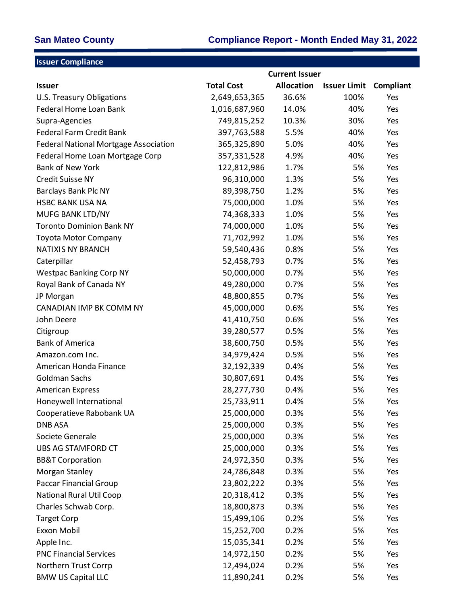| <b>Issuer Compliance</b>              |                   |                       |                     |           |
|---------------------------------------|-------------------|-----------------------|---------------------|-----------|
|                                       |                   | <b>Current Issuer</b> |                     |           |
| <b>Issuer</b>                         | <b>Total Cost</b> | <b>Allocation</b>     | <b>Issuer Limit</b> | Compliant |
| U.S. Treasury Obligations             | 2,649,653,365     | 36.6%                 | 100%                | Yes       |
| Federal Home Loan Bank                | 1,016,687,960     | 14.0%                 | 40%                 | Yes       |
| Supra-Agencies                        | 749,815,252       | 10.3%                 | 30%                 | Yes       |
| <b>Federal Farm Credit Bank</b>       | 397,763,588       | 5.5%                  | 40%                 | Yes       |
| Federal National Mortgage Association | 365,325,890       | 5.0%                  | 40%                 | Yes       |
| Federal Home Loan Mortgage Corp       | 357,331,528       | 4.9%                  | 40%                 | Yes       |
| <b>Bank of New York</b>               | 122,812,986       | 1.7%                  | 5%                  | Yes       |
| <b>Credit Suisse NY</b>               | 96,310,000        | 1.3%                  | 5%                  | Yes       |
| Barclays Bank Plc NY                  | 89,398,750        | 1.2%                  | 5%                  | Yes       |
| <b>HSBC BANK USA NA</b>               | 75,000,000        | 1.0%                  | 5%                  | Yes       |
| MUFG BANK LTD/NY                      | 74,368,333        | 1.0%                  | 5%                  | Yes       |
| <b>Toronto Dominion Bank NY</b>       | 74,000,000        | 1.0%                  | 5%                  | Yes       |
| <b>Toyota Motor Company</b>           | 71,702,992        | 1.0%                  | 5%                  | Yes       |
| <b>NATIXIS NY BRANCH</b>              | 59,540,436        | 0.8%                  | 5%                  | Yes       |
| Caterpillar                           | 52,458,793        | 0.7%                  | 5%                  | Yes       |
| <b>Westpac Banking Corp NY</b>        | 50,000,000        | 0.7%                  | 5%                  | Yes       |
| Royal Bank of Canada NY               | 49,280,000        | 0.7%                  | 5%                  | Yes       |
| JP Morgan                             | 48,800,855        | 0.7%                  | 5%                  | Yes       |
| CANADIAN IMP BK COMM NY               | 45,000,000        | 0.6%                  | 5%                  | Yes       |
| John Deere                            | 41,410,750        | 0.6%                  | 5%                  | Yes       |
| Citigroup                             | 39,280,577        | 0.5%                  | 5%                  | Yes       |
| <b>Bank of America</b>                | 38,600,750        | 0.5%                  | 5%                  | Yes       |
| Amazon.com Inc.                       | 34,979,424        | 0.5%                  | 5%                  | Yes       |
| American Honda Finance                | 32,192,339        | 0.4%                  | 5%                  | Yes       |
| Goldman Sachs                         | 30,807,691        | 0.4%                  | 5%                  | Yes       |
| <b>American Express</b>               | 28,277,730        | 0.4%                  | 5%                  | Yes       |
| Honeywell International               | 25,733,911        | 0.4%                  | 5%                  | Yes       |
| Cooperatieve Rabobank UA              | 25,000,000        | 0.3%                  | 5%                  | Yes       |
| <b>DNB ASA</b>                        | 25,000,000        | 0.3%                  | 5%                  | Yes       |
| Societe Generale                      | 25,000,000        | 0.3%                  | 5%                  | Yes       |
| UBS AG STAMFORD CT                    | 25,000,000        | 0.3%                  | 5%                  | Yes       |
| <b>BB&amp;T Corporation</b>           | 24,972,350        | 0.3%                  | 5%                  | Yes       |
| Morgan Stanley                        | 24,786,848        | 0.3%                  | 5%                  | Yes       |
| <b>Paccar Financial Group</b>         | 23,802,222        | 0.3%                  | 5%                  | Yes       |
| <b>National Rural Util Coop</b>       | 20,318,412        | 0.3%                  | 5%                  | Yes       |
| Charles Schwab Corp.                  | 18,800,873        | 0.3%                  | 5%                  | Yes       |
| <b>Target Corp</b>                    | 15,499,106        | 0.2%                  | 5%                  | Yes       |
| Exxon Mobil                           | 15,252,700        | 0.2%                  | 5%                  | Yes       |
| Apple Inc.                            | 15,035,341        | 0.2%                  | 5%                  | Yes       |
| <b>PNC Financial Services</b>         | 14,972,150        | 0.2%                  | 5%                  | Yes       |
| Northern Trust Corrp                  | 12,494,024        | 0.2%                  | 5%                  | Yes       |
| <b>BMW US Capital LLC</b>             | 11,890,241        | 0.2%                  | 5%                  | Yes       |